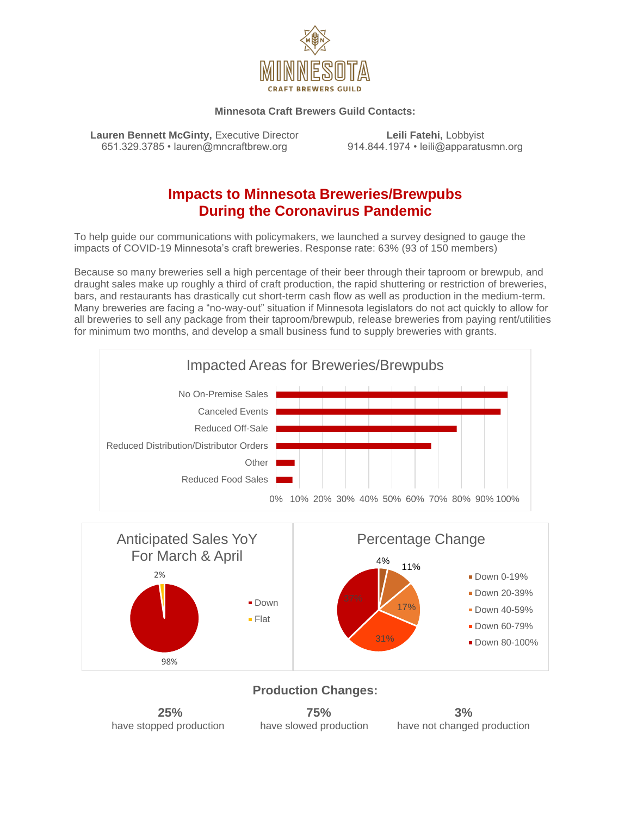

#### **Minnesota Craft Brewers Guild Contacts:**

**Lauren Bennett McGinty, Executive Director <b>Leili Fatehi, Lobbyist** 651.329.3785 • lauren@mncraftbrew.org 914.844.1974 • leili@apparatusmn.org

## **Impacts to Minnesota Breweries/Brewpubs During the Coronavirus Pandemic**

To help guide our communications with policymakers, we launched a survey designed to gauge the impacts of COVID-19 Minnesota's craft breweries. Response rate: 63% (93 of 150 members)

Because so many breweries sell a high percentage of their beer through their taproom or brewpub, and draught sales make up roughly a third of craft production, the rapid shuttering or restriction of breweries, bars, and restaurants has drastically cut short-term cash flow as well as production in the medium-term. Many breweries are facing a "no-way-out" situation if Minnesota legislators do not act quickly to allow for all breweries to sell any package from their taproom/brewpub, release breweries from paying rent/utilities for minimum two months, and develop a small business fund to supply breweries with grants.





#### **Production Changes:**

| 25%                     | 75%                    | 3%                          |
|-------------------------|------------------------|-----------------------------|
| have stopped production | have slowed production | have not changed production |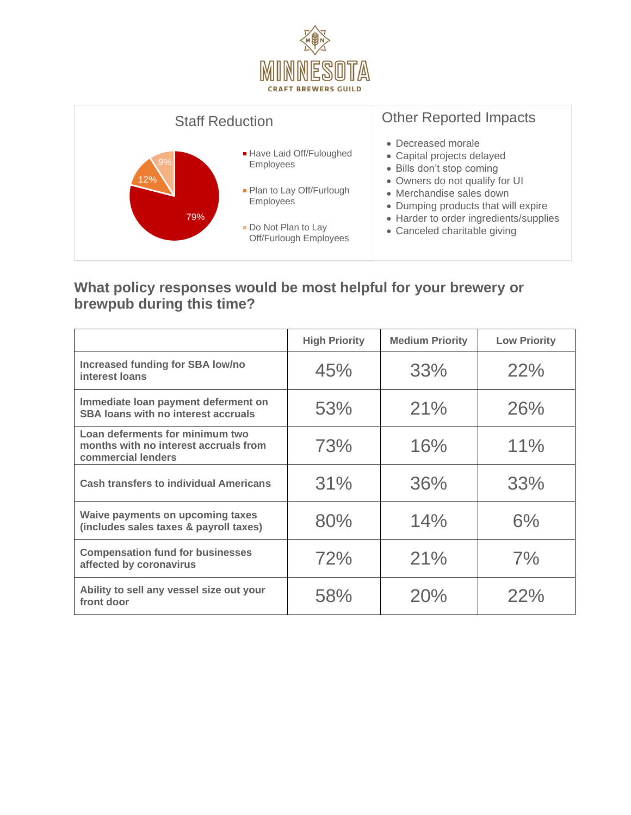



#### **What policy responses would be most helpful for your brewery or brewpub during this time?**

|                                                                                                | <b>High Priority</b> | <b>Medium Priority</b> | <b>Low Priority</b> |
|------------------------------------------------------------------------------------------------|----------------------|------------------------|---------------------|
| Increased funding for SBA low/no<br>interest loans                                             | 45%                  | 33%                    | 22%                 |
| Immediate Ioan payment deferment on<br>SBA loans with no interest accruals                     | 53%                  | 21%                    | 26%                 |
| Loan deferments for minimum two<br>months with no interest accruals from<br>commercial lenders | 73%                  | 16%                    | 11%                 |
| <b>Cash transfers to individual Americans</b>                                                  | 31%                  | 36%                    | 33%                 |
| Waive payments on upcoming taxes<br>(includes sales taxes & payroll taxes)                     | 80%                  | 14%                    | 6%                  |
| <b>Compensation fund for businesses</b><br>affected by coronavirus                             | 72%                  | 21%                    | 7%                  |
| Ability to sell any vessel size out your<br>front door                                         | 58%                  | 20%                    | 22%                 |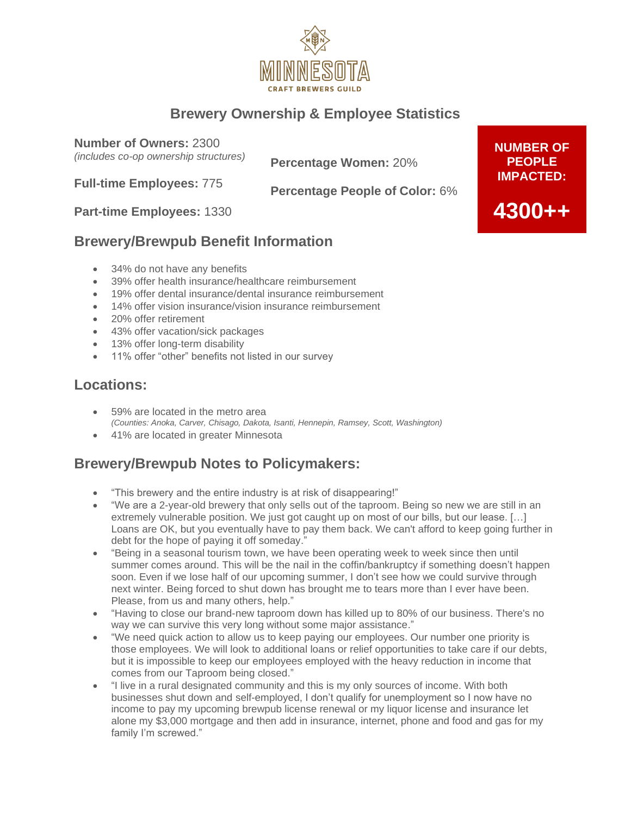

# **Brewery Ownership & Employee Statistics**

**Number of Owners:** 2300

*(includes co-op ownership structures)*

**Percentage Women:** 20%

**Full-time Employees:** 775

**Percentage People of Color:** 6%

**Part-time Employees:** 1330

### **Brewery/Brewpub Benefit Information**

- 34% do not have any benefits
- 39% offer health insurance/healthcare reimbursement
- 19% offer dental insurance/dental insurance reimbursement
- 14% offer vision insurance/vision insurance reimbursement
- 20% offer retirement
- 43% offer vacation/sick packages
- 13% offer long-term disability
- 11% offer "other" benefits not listed in our survey

## **Locations:**

- 59% are located in the metro area *(Counties: Anoka, Carver, Chisago, Dakota, Isanti, Hennepin, Ramsey, Scott, Washington)*
- 41% are located in greater Minnesota

## **Brewery/Brewpub Notes to Policymakers:**

- "This brewery and the entire industry is at risk of disappearing!"
- "We are a 2-year-old brewery that only sells out of the taproom. Being so new we are still in an extremely vulnerable position. We just got caught up on most of our bills, but our lease. […] Loans are OK, but you eventually have to pay them back. We can't afford to keep going further in debt for the hope of paying it off someday."
- "Being in a seasonal tourism town, we have been operating week to week since then until summer comes around. This will be the nail in the coffin/bankruptcy if something doesn't happen soon. Even if we lose half of our upcoming summer, I don't see how we could survive through next winter. Being forced to shut down has brought me to tears more than I ever have been. Please, from us and many others, help."
- "Having to close our brand-new taproom down has killed up to 80% of our business. There's no way we can survive this very long without some major assistance."
- "We need quick action to allow us to keep paying our employees. Our number one priority is those employees. We will look to additional loans or relief opportunities to take care if our debts, but it is impossible to keep our employees employed with the heavy reduction in income that comes from our Taproom being closed."
- "I live in a rural designated community and this is my only sources of income. With both businesses shut down and self-employed, I don't qualify for unemployment so I now have no income to pay my upcoming brewpub license renewal or my liquor license and insurance let alone my \$3,000 mortgage and then add in insurance, internet, phone and food and gas for my family I'm screwed."

**NUMBER OF PEOPLE IMPACTED:**

**4300++**